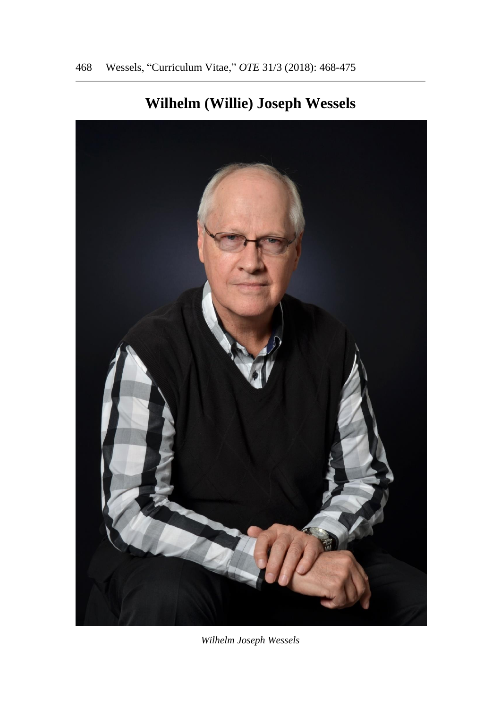

# **Wilhelm (Willie) Joseph Wessels**

*Wilhelm Joseph Wessels*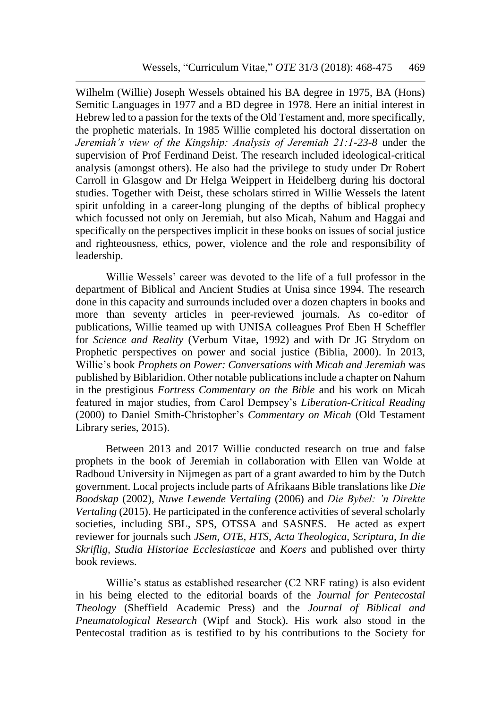Wilhelm (Willie) Joseph Wessels obtained his BA degree in 1975, BA (Hons) Semitic Languages in 1977 and a BD degree in 1978. Here an initial interest in Hebrew led to a passion for the texts of the Old Testament and, more specifically, the prophetic materials. In 1985 Willie completed his doctoral dissertation on *Jeremiah's view of the Kingship: Analysis of Jeremiah 21:1-23-8* under the supervision of Prof Ferdinand Deist. The research included ideological-critical analysis (amongst others). He also had the privilege to study under Dr Robert Carroll in Glasgow and Dr Helga Weippert in Heidelberg during his doctoral studies. Together with Deist, these scholars stirred in Willie Wessels the latent spirit unfolding in a career-long plunging of the depths of biblical prophecy which focussed not only on Jeremiah, but also Micah, Nahum and Haggai and specifically on the perspectives implicit in these books on issues of social justice and righteousness, ethics, power, violence and the role and responsibility of leadership.

Willie Wessels' career was devoted to the life of a full professor in the department of Biblical and Ancient Studies at Unisa since 1994. The research done in this capacity and surrounds included over a dozen chapters in books and more than seventy articles in peer-reviewed journals. As co-editor of publications, Willie teamed up with UNISA colleagues Prof Eben H Scheffler for *Science and Reality* (Verbum Vitae, 1992) and with Dr JG Strydom on Prophetic perspectives on power and social justice (Biblia, 2000). In 2013, Willie's book *Prophets on Power: Conversations with Micah and Jeremiah* was published by Biblaridion. Other notable publications include a chapter on Nahum in the prestigious *Fortress Commentary on the Bible* and his work on Micah featured in major studies, from Carol Dempsey's *Liberation-Critical Reading* (2000) to Daniel Smith-Christopher's *Commentary on Micah* (Old Testament Library series, 2015).

Between 2013 and 2017 Willie conducted research on true and false prophets in the book of Jeremiah in collaboration with Ellen van Wolde at Radboud University in Nijmegen as part of a grant awarded to him by the Dutch government. Local projects include parts of Afrikaans Bible translations like *Die Boodskap* (2002), *Nuwe Lewende Vertaling* (2006) and *Die Bybel: 'n Direkte Vertaling* (2015). He participated in the conference activities of several scholarly societies, including SBL, SPS, OTSSA and SASNES. He acted as expert reviewer for journals such *JSem, OTE, HTS, Acta Theologica, Scriptura, In die Skriflig, Studia Historiae Ecclesiasticae* and *Koers* and published over thirty book reviews.

Willie's status as established researcher (C2 NRF rating) is also evident in his being elected to the editorial boards of the *Journal for Pentecostal Theology* (Sheffield Academic Press) and the *Journal of Biblical and Pneumatological Research* (Wipf and Stock). His work also stood in the Pentecostal tradition as is testified to by his contributions to the Society for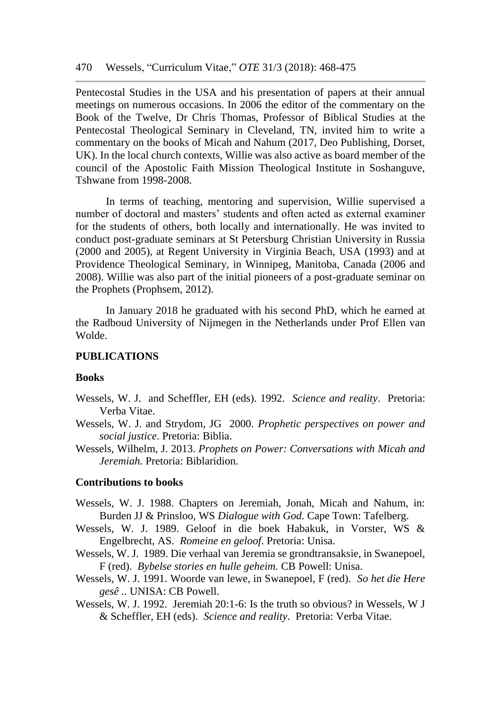Pentecostal Studies in the USA and his presentation of papers at their annual meetings on numerous occasions. In 2006 the editor of the commentary on the Book of the Twelve, Dr Chris Thomas, Professor of Biblical Studies at the Pentecostal Theological Seminary in Cleveland, TN, invited him to write a commentary on the books of Micah and Nahum (2017, Deo Publishing, Dorset, UK). In the local church contexts, Willie was also active as board member of the council of the Apostolic Faith Mission Theological Institute in Soshanguve, Tshwane from 1998-2008.

In terms of teaching, mentoring and supervision, Willie supervised a number of doctoral and masters' students and often acted as external examiner for the students of others, both locally and internationally. He was invited to conduct post-graduate seminars at St Petersburg Christian University in Russia (2000 and 2005), at Regent University in Virginia Beach, USA (1993) and at Providence Theological Seminary, in Winnipeg, Manitoba, Canada (2006 and 2008). Willie was also part of the initial pioneers of a post-graduate seminar on the Prophets (Prophsem, 2012).

In January 2018 he graduated with his second PhD, which he earned at the Radboud University of Nijmegen in the Netherlands under Prof Ellen van Wolde.

## **PUBLICATIONS**

#### **Books**

- Wessels, W. J. and Scheffler, EH (eds). 1992. *Science and reality*. Pretoria: Verba Vitae.
- Wessels, W. J. and Strydom, JG 2000. *Prophetic perspectives on power and social justice*. Pretoria: Biblia.
- Wessels, Wilhelm, J. 2013. *Prophets on Power: Conversations with Micah and Jeremiah.* Pretoria: Biblaridion.

#### **Contributions to books**

- Wessels, W. J. 1988. Chapters on Jeremiah, Jonah, Micah and Nahum, in: Burden JJ & Prinsloo, WS *Dialogue with God.* Cape Town: Tafelberg.
- Wessels, W. J. 1989. Geloof in die boek Habakuk, in Vorster, WS & Engelbrecht, AS. *Romeine en geloof*. Pretoria: Unisa.
- Wessels, W. J. 1989. Die verhaal van Jeremia se grondtransaksie, in Swanepoel, F (red). *Bybelse stories en hulle geheim.* CB Powell: Unisa.
- Wessels, W. J. 1991. Woorde van lewe, in Swanepoel, F (red). *So het die Here gesê ..* UNISA: CB Powell.
- Wessels, W. J. 1992. Jeremiah 20:1-6: Is the truth so obvious? in Wessels, W J & Scheffler, EH (eds). *Science and reality*. Pretoria: Verba Vitae.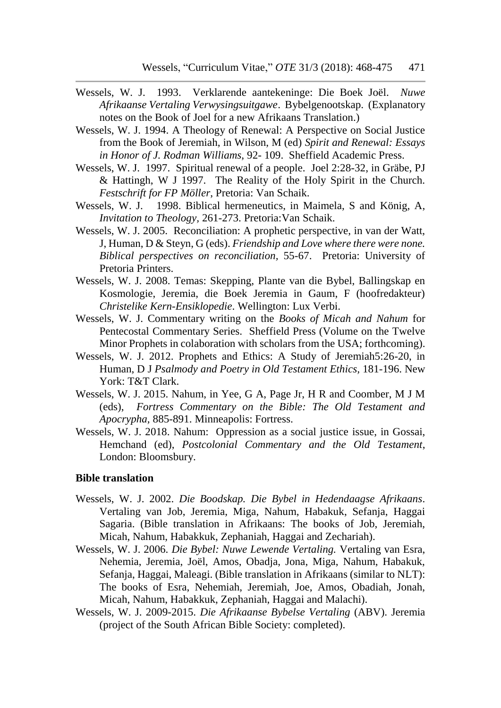- Wessels, W. J. 1993. Verklarende aantekeninge: Die Boek Joël. *Nuwe Afrikaanse Vertaling Verwysingsuitgawe*. Bybelgenootskap. (Explanatory notes on the Book of Joel for a new Afrikaans Translation.)
- Wessels, W. J. 1994. A Theology of Renewal: A Perspective on Social Justice from the Book of Jeremiah, in Wilson, M (ed) *Spirit and Renewal: Essays in Honor of J. Rodman Williams*, 92- 109. Sheffield Academic Press.
- Wessels, W. J. 1997. Spiritual renewal of a people. Joel 2:28-32, in Gräbe, PJ & Hattingh, W J 1997. The Reality of the Holy Spirit in the Church. *Festschrift for FP Möller*, Pretoria: Van Schaik.
- Wessels, W. J. 1998. Biblical hermeneutics, in Maimela, S and König, A, *Invitation to Theology,* 261-273. Pretoria:Van Schaik.
- Wessels, W. J. 2005. Reconciliation: A prophetic perspective, in van der Watt, J, Human, D & Steyn, G (eds). *Friendship and Love where there were none. Biblical perspectives on reconciliation,* 55-67.Pretoria: University of Pretoria Printers.
- Wessels, W. J. 2008. Temas: Skepping, Plante van die Bybel, Ballingskap en Kosmologie, Jeremia, die Boek Jeremia in Gaum, F (hoofredakteur) *Christelike Kern-Ensiklopedie*. Wellington: Lux Verbi.
- Wessels, W. J. Commentary writing on the *Books of Micah and Nahum* for Pentecostal Commentary Series. Sheffield Press (Volume on the Twelve Minor Prophets in colaboration with scholars from the USA; forthcoming).
- Wessels, W. J. 2012. Prophets and Ethics: A Study of Jeremiah5:26-20, in Human, D J *Psalmody and Poetry in Old Testament Ethics,* 181-196. New York: T&T Clark.
- Wessels, W. J. 2015. Nahum, in Yee, G A, Page Jr, H R and Coomber, M J M (eds), *Fortress Commentary on the Bible: The Old Testament and Apocrypha,* 885-891. Minneapolis: Fortress.
- Wessels, W. J. 2018. Nahum: Oppression as a social justice issue, in Gossai, Hemchand (ed), *Postcolonial Commentary and the Old Testament*, London: Bloomsbury.

### **Bible translation**

- Wessels, W. J. 2002. *Die Boodskap. Die Bybel in Hedendaagse Afrikaans*. Vertaling van Job, Jeremia, Miga, Nahum, Habakuk, Sefanja, Haggai Sagaria. (Bible translation in Afrikaans: The books of Job, Jeremiah, Micah, Nahum, Habakkuk, Zephaniah, Haggai and Zechariah).
- Wessels, W. J. 2006. *Die Bybel: Nuwe Lewende Vertaling.* Vertaling van Esra, Nehemia, Jeremia, Joël, Amos, Obadja, Jona, Miga, Nahum, Habakuk, Sefanja, Haggai, Maleagi. (Bible translation in Afrikaans (similar to NLT): The books of Esra, Nehemiah, Jeremiah, Joe, Amos, Obadiah, Jonah, Micah, Nahum, Habakkuk, Zephaniah, Haggai and Malachi).
- Wessels, W. J. 2009-2015. *Die Afrikaanse Bybelse Vertaling* (ABV). Jeremia (project of the South African Bible Society: completed).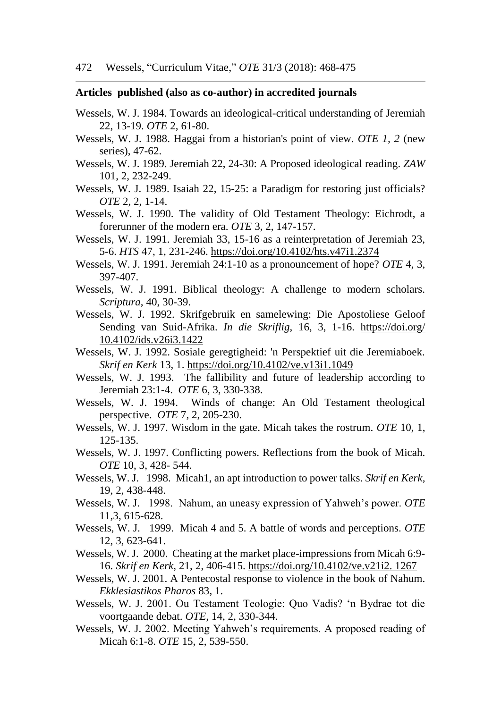#### **Articles published (also as co-author) in accredited journals**

- Wessels, W. J. 1984. Towards an ideological-critical understanding of Jeremiah 22, 13-19. *OTE* 2, 61-80.
- Wessels, W. J. 1988. Haggai from a historian's point of view. *OTE 1, 2* (new series), 47-62.
- Wessels, W. J. 1989. Jeremiah 22, 24-30: A Proposed ideological reading. *ZAW* 101, 2, 232-249.
- Wessels, W. J. 1989. Isaiah 22, 15-25: a Paradigm for restoring just officials? *OTE* 2, 2, 1-14.
- Wessels, W. J. 1990. The validity of Old Testament Theology: Eichrodt, a forerunner of the modern era. *OTE* 3, 2, 147-157.
- Wessels, W. J. 1991. Jeremiah 33, 15-16 as a reinterpretation of Jeremiah 23, 5-6. *HTS* 47, 1, 231-246. <https://doi.org/10.4102/hts.v47i1.2374>
- Wessels, W. J. 1991. Jeremiah 24:1-10 as a pronouncement of hope? *OTE* 4, 3, 397-407.
- Wessels, W. J. 1991. Biblical theology: A challenge to modern scholars. *Scriptura*, 40, 30-39.
- Wessels, W. J. 1992. Skrifgebruik en samelewing: Die Apostoliese Geloof Sending van Suid-Afrika. *In die Skriflig*, 16, 3, 1-16. [https://doi.org/](https://doi.org/%2010.4102/ids.v26i3.1422)  [10.4102/ids.v26i3.1422](https://doi.org/%2010.4102/ids.v26i3.1422)
- Wessels, W. J. 1992. Sosiale geregtigheid: 'n Perspektief uit die Jeremiaboek. *Skrif en Kerk* 13, 1. <https://doi.org/10.4102/ve.v13i1.1049>
- Wessels, W. J. 1993. The fallibility and future of leadership according to Jeremiah 23:1-4. *OTE* 6, 3, 330-338.
- Wessels, W. J. 1994. Winds of change: An Old Testament theological perspective. *OTE* 7, 2, 205-230.
- Wessels, W. J. 1997. Wisdom in the gate. Micah takes the rostrum. *OTE* 10, 1, 125-135.
- Wessels, W. J. 1997. Conflicting powers. Reflections from the book of Micah. *OTE* 10, 3, 428- 544.
- Wessels, W. J. 1998. Micah1, an apt introduction to power talks. *Skrif en Kerk,* 19, 2, 438-448.
- Wessels, W. J. 1998. Nahum, an uneasy expression of Yahweh's power. *OTE* 11,3, 615-628.
- Wessels, W. J. 1999. Micah 4 and 5. A battle of words and perceptions. *OTE* 12, 3, 623-641.
- Wessels, W. J. 2000. Cheating at the market place-impressions from Micah 6:9- 16. *Skrif en Kerk,* 21, 2, 406-415. [https://doi.org/10.4102/ve.v21i2. 1267](https://doi.org/10.4102/ve.v21i2.%201267)
- Wessels, W. J. 2001. A Pentecostal response to violence in the book of Nahum. *Ekklesiastikos Pharos* 83, 1.
- Wessels, W. J. 2001. Ou Testament Teologie: Quo Vadis? 'n Bydrae tot die voortgaande debat. *OTE,* 14, 2, 330-344.
- Wessels, W. J. 2002. Meeting Yahweh's requirements. A proposed reading of Micah 6:1-8. *OTE* 15, 2, 539-550.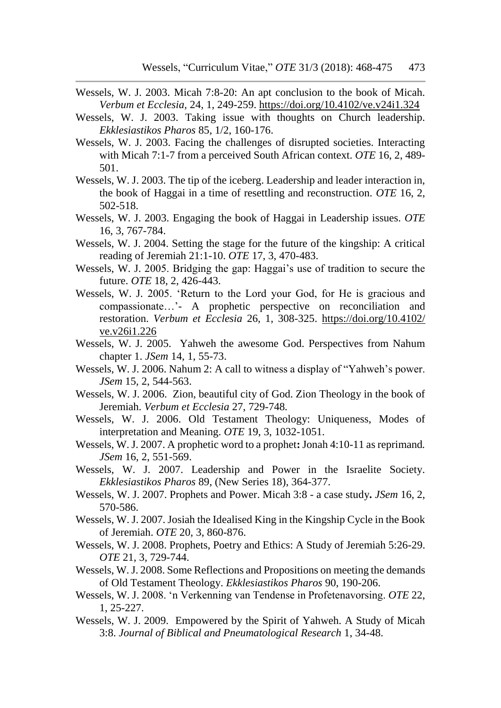- Wessels, W. J. 2003. Micah 7:8-20: An apt conclusion to the book of Micah. *Verbum et Ecclesia,* 24, 1, 249-259. <https://doi.org/10.4102/ve.v24i1.324>
- Wessels, W. J. 2003. Taking issue with thoughts on Church leadership. *Ekklesiastikos Pharos* 85, 1/2, 160-176.
- Wessels, W. J. 2003. Facing the challenges of disrupted societies. Interacting with Micah 7:1-7 from a perceived South African context. *OTE* 16, 2, 489- 501.
- Wessels, W. J. 2003. The tip of the iceberg. Leadership and leader interaction in, the book of Haggai in a time of resettling and reconstruction. *OTE* 16, 2, 502-518.
- Wessels, W. J. 2003. Engaging the book of Haggai in Leadership issues. *OTE*  16, 3, 767-784.
- Wessels, W. J. 2004. Setting the stage for the future of the kingship: A critical reading of Jeremiah 21:1-10. *OTE* 17, 3, 470-483.
- Wessels, W. J. 2005. Bridging the gap: Haggai's use of tradition to secure the future. *OTE* 18, 2, 426-443.
- Wessels, W. J. 2005. 'Return to the Lord your God, for He is gracious and compassionate…'- A prophetic perspective on reconciliation and restoration. *Verbum et Ecclesia* 26, 1, 308-325. [https://doi.org/10.4102/](https://doi.org/10.4102/%20ve.v26i1.226)  [ve.v26i1.226](https://doi.org/10.4102/%20ve.v26i1.226)
- Wessels, W. J. 2005. Yahweh the awesome God. Perspectives from Nahum chapter 1. *JSem* 14, 1, 55-73.
- Wessels, W. J. 2006. Nahum 2: A call to witness a display of "Yahweh's power. *JSem* 15*,* 2, 544-563.
- Wessels, W. J. 2006. Zion, beautiful city of God. Zion Theology in the book of Jeremiah. *Verbum et Ecclesia* 27, 729-748*.*
- Wessels, W. J. 2006. Old Testament Theology: Uniqueness, Modes of interpretation and Meaning. *OTE* 19, 3, 1032-1051.
- Wessels, W.J. 2007. A prophetic word to a prophet**:** Jonah 4:10-11 as reprimand*. JSem* 16, 2, 551-569.
- Wessels, W. J. 2007. Leadership and Power in the Israelite Society. *Ekklesiastikos Pharos* 89, (New Series 18), 364-377.
- Wessels, W. J. 2007. Prophets and Power. Micah 3:8 a case study**.** *JSem* 16, 2, 570-586.
- Wessels, W. J. 2007. Josiah the Idealised King in the Kingship Cycle in the Book of Jeremiah. *OTE* 20, 3, 860-876.
- Wessels, W. J. 2008. Prophets, Poetry and Ethics: A Study of Jeremiah 5:26-29. *OTE* 21, 3, 729-744.
- Wessels, W.J. 2008. Some Reflections and Propositions on meeting the demands of Old Testament Theology. *Ekklesiastikos Pharos* 90, 190-206.
- Wessels, W. J. 2008. 'n Verkenning van Tendense in Profetenavorsing. *OTE* 22, 1, 25-227.
- Wessels, W. J. 2009. Empowered by the Spirit of Yahweh. A Study of Micah 3:8. *Journal of Biblical and Pneumatological Research* 1, 34-48.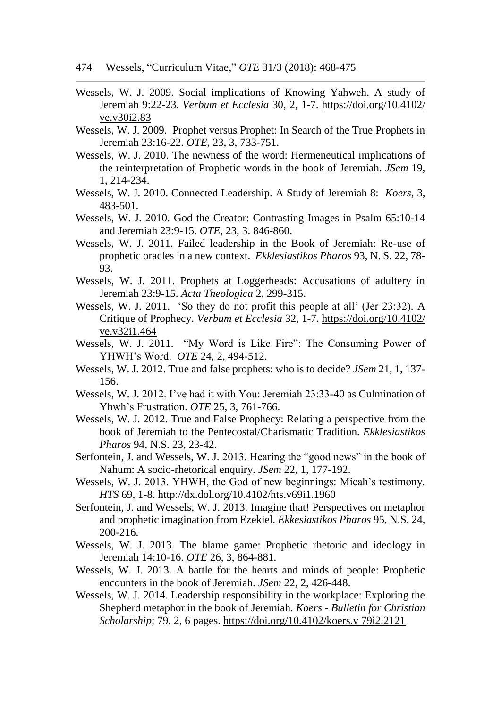474 Wessels, "Curriculum Vitae," *OTE* 31/3 (2018): 468-475

- Wessels, W. J. 2009. Social implications of Knowing Yahweh. A study of Jeremiah 9:22-23. *Verbum et Ecclesia* 30, 2, 1-7. [https://doi.org/10.4102/](https://doi.org/10.4102/%20ve.v30i2.83)  [ve.v30i2.83](https://doi.org/10.4102/%20ve.v30i2.83)
- Wessels, W. J. 2009. Prophet versus Prophet: In Search of the True Prophets in Jeremiah 23:16-22. *OTE,* 23, 3, 733-751.
- Wessels, W. J. 2010. The newness of the word: Hermeneutical implications of the reinterpretation of Prophetic words in the book of Jeremiah. *JSem* 19, 1, 214-234.
- Wessels, W. J. 2010. Connected Leadership. A Study of Jeremiah 8: *Koers,* 3, 483-501.
- Wessels, W. J. 2010. God the Creator: Contrasting Images in Psalm 65:10-14 and Jeremiah 23:9-15. *OTE,* 23, 3. 846-860.
- Wessels, W. J. 2011. Failed leadership in the Book of Jeremiah: Re-use of prophetic oracles in a new context. *Ekklesiastikos Pharos* 93, N. S. 22, 78- 93.
- Wessels, W. J. 2011. Prophets at Loggerheads: Accusations of adultery in Jeremiah 23:9-15. *Acta Theologica* 2, 299-315.
- Wessels, W. J. 2011. 'So they do not profit this people at all' (Jer 23:32). A Critique of Prophecy. *Verbum et Ecclesia* 32, 1-7. [https://doi.org/10.4102/](https://doi.org/10.4102/%20ve.v32i1.464)  [ve.v32i1.464](https://doi.org/10.4102/%20ve.v32i1.464)
- Wessels, W. J. 2011. "My Word is Like Fire": The Consuming Power of YHWH's Word. *OTE* 24, 2, 494-512.
- Wessels, W. J. 2012. True and false prophets: who is to decide? *JSem* 21, 1, 137- 156.
- Wessels, W. J. 2012. I've had it with You: Jeremiah 23:33-40 as Culmination of Yhwh's Frustration. *OTE* 25, 3, 761-766.
- Wessels, W. J. 2012. True and False Prophecy: Relating a perspective from the book of Jeremiah to the Pentecostal/Charismatic Tradition. *Ekklesiastikos Pharos* 94, N.S. 23, 23-42.
- Serfontein, J. and Wessels, W. J. 2013. Hearing the "good news" in the book of Nahum: A socio-rhetorical enquiry. *JSem* 22, 1, 177-192.
- Wessels, W. J. 2013. YHWH, the God of new beginnings: Micah's testimony. *HTS* 69, 1-8. http://dx.dol.org/10.4102/hts.v69i1.1960
- Serfontein, J. and Wessels, W. J. 2013. Imagine that! Perspectives on metaphor and prophetic imagination from Ezekiel. *Ekkesiastikos Pharos* 95, N.S. 24, 200-216.
- Wessels, W. J. 2013. The blame game: Prophetic rhetoric and ideology in Jeremiah 14:10-16. *OTE* 26, 3, 864-881.
- Wessels, W. J. 2013. A battle for the hearts and minds of people: Prophetic encounters in the book of Jeremiah. *JSem* 22, 2, 426-448.
- Wessels, W. J. 2014. Leadership responsibility in the workplace: Exploring the Shepherd metaphor in the book of Jeremiah. *Koers - Bulletin for Christian Scholarship*; 79, 2, 6 pages. [https://doi.org/10.4102/koers.v 79i2.2121](https://doi.org/10.4102/koers.v%2079i2.2121)